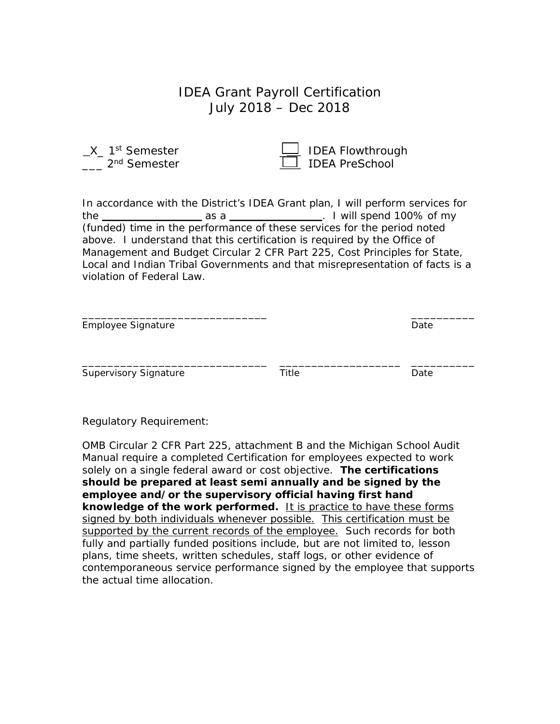## IDEA Grant Payroll Certification July 2018 – Dec 2018

X<sub>\_1st</sub> Semester 2<sup>nd</sup> Semester

| <b>IDEA Flowthrough</b> |
|-------------------------|
| □ IDEA PreSchool        |

In accordance with the District's IDEA Grant plan, I will perform services for the **\_\_\_\_\_\_\_\_\_\_\_\_\_\_** as a **\_\_\_\_\_\_\_\_\_\_\_\_\_**. I will spend 100% of my (funded) time in the performance of these services for the period noted above. I understand that this certification is required by the Office of Management and Budget Circular 2 CFR Part 225, Cost Principles for State, Local and Indian Tribal Governments and that misrepresentation of facts is a violation of Federal Law.

| Employee Signature           | Date  |      |
|------------------------------|-------|------|
| <b>Supervisory Signature</b> | Title | Date |

Regulatory Requirement:

OMB Circular 2 CFR Part 225, attachment B and the Michigan School Audit Manual require a completed Certification for employees expected to work solely on a single federal award or cost objective. **The certifications should be prepared at least semi annually and be signed by the employee and/or the supervisory official having first hand**  knowledge of the work performed. It is practice to have these forms signed by both individuals whenever possible. This certification must be supported by the current records of the employee. Such records for both fully and partially funded positions include, but are not limited to, lesson plans, time sheets, written schedules, staff logs, or other evidence of contemporaneous service performance signed by the employee that supports the actual time allocation.